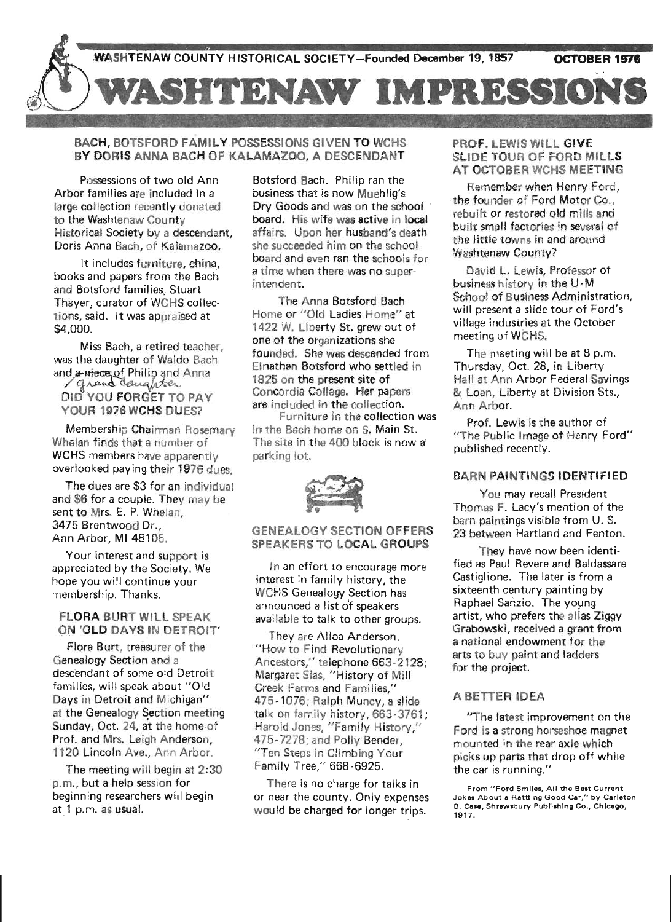

## BACH, BOTSFORD FAMIL YPOSSESSIONS GIVEN TO WCHS BY DORIS ANNA BACH OF KALAMAZOO, A DESCENDANT

Possessions of two old Ann Arbor families are included in a large collection recently donated to the Washtenaw County Historical Society by a descendant, Doris Anna Bach, of Kalamazoo.

It includes furniture, china, books and papers from the Bach and Botsford families, Stuart Thayer, curator of WCHS collections, said. It was appraised at \$4,000.

Miss Bach, a retired teacher, was the daughter of Waldo Bach and a-niece of Philip and Anna DID YOU FORGET TO PAY YOUR 1976 WCHS DUES?

Membership Chairman Rosemary Whelan finds that a number of WCHS members have apparently overlooked paying their 1976 dues,

The dues are \$3 for an individual and \$6 for a couple. They may be sent to Mrs. E. P. Whelan, 3475 Brentwood Dr., Ann Arbor, MI 48105.

Your interest and support is appreciated by the Society. We hope you will continue your membership. Thanks.

### FLORA BURT WILL SPEAK ON 'OLD DAYS IN DETROIT'

Flora Burt, treasurer of the Genealogy Section and a descendant of some old Detroit families, will speak about "Old Days in Detroit and Michigan" at the Genealogy Section meeting Sunday, Oct. 24, at the home·of Prof. and Mrs. Leigh Anderson, 1120 Lincoln Ave., Ann Arbor.

The meeting will begin at 2:30 p.m., but a help session for beginning researchers will begin at 1 p.m. as usual.

Botsford Bach. Philip ran the business that is now Muehlig's Dry Goods and was on the school board. His wife was active in local affairs. Upon her husband's death she succeeded him on the school board and even ran the schools for a time when there was no superintendent.

The Anna Botsford Bach Home or "Old Ladies Home" at 1422 W. Liberty St. grew out of one of the organizations she founded. She was descended from Elnathan Botsford who settled in 1825 on the present site of Concordia College. Her papers are included in the collection.

Furniture in the collection was in the Bach home on S. Main St. The site in the 400 block is now a parking lot.

 $\cdot$  ,  $\cdot$  ,  $\cdot$ •

GENEALOGY SECTION OFFERS SPEAKERS TO LOCAL GROUPS

In an effort to encourage more interest in family history, the WCHS Genealogy Section has announced a list o'f speakers available to talk to other groups.

They are Alloa Anderson, "How to Find Revolutionary Ancestors," telephone 663 -2128; Margaret Sias, "History of Mill Creek Farms and Families," 475-1076; Ralph Muncy, a slide talk on family history, 663-3761; Harold Jones, "Family History," 475-7278; and Polly Bender, "Ten Steps in Climbing Your Family Tree," 668-6925.

There is no charge for talks in or near the county. Only expenses would be charged for longer trips.  $\mathbb{R}^n$ 

## PROF. LEWIS WILL GIVE SLIDE TOUR OF FORD MILLS AT OCTOBER WCHS MEETING

Remember when Henry Ford, the founder of Ford Motor Co., rebuilt or restored old mills and built small factories in several of the little towns in and around Washtenaw County?

David L. Lewis, Professor of business history in the U-M School of Business Administration, will present a slide tour of Ford's village industries at the October meeting of WCHS.

The meeting will be at 8 p.m. Thursday, Oct. 28, in Liberty Hall at Ann Arbor Federal Savings & Loan, Liberty at Division Sts., Ann Arbor.

Prof. Lewis is the author of "The Public Image of Henry Ford" published recently.

## BARN PAINTINGS IDENTifiED

You may recall President Thomas F. Lacy's mention of the barn paintings visible from U. S. 23 between Hartland and Fenton.

They have now been identi-. fied as Paul Revere and Baldassare Castiglione. The later is from a sixteenth century painting by Raphael Sanzio. The young artist, who prefers the alias Ziggy Grabowski, received a grant from a national endowment for the arts to buy paint and ladders for the project.

## A BETTER IDEA

"The latest improvement on the Ford is a strong horseshoe magnet mounted in the rear axle which picks up parts that drop off while the car is running."

From "Ford Smiles. All the Best Current Jokes About a Rattling Good Car," by Carleton B. Case, Shrewsbury Publishing Co., Chicago, 1917 .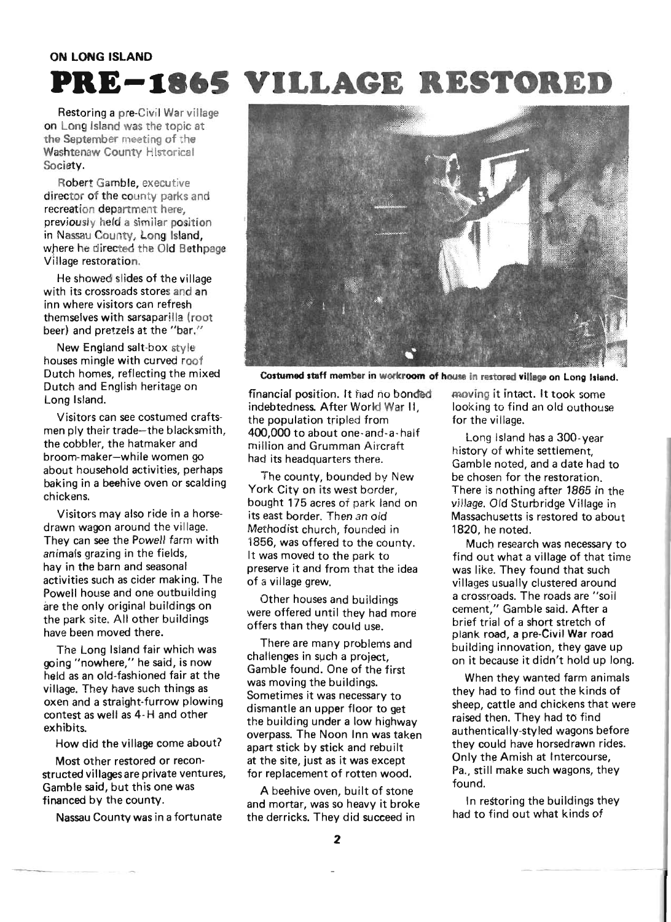#### **ON LONG ISLAND**

# PRE-1865 VILLAGE RESTORED

Restoring a pre-Civil War village on Long Island was the topic at the September meeting of the Washtenaw County Historical Society.

Robert Gamble, executive director of the county parks and recreation department here, previously held a similar position in Nassau County, Long Island, where he directed the Old Bethpage Village restoration.

He showed slides of the village with its crossroads stores and an inn where visitors can refresh themselves with sarsaparilla (root beer) and pretzels at the "bar."

New England salt-box style houses mingle with curved roof Dutch homes, reflecting the mixed Dutch and English heritage on Long Island.

Visitors can see costumed craftsmen ply their trade-the blacksmith, the cobbler, the hatmaker and broom-maker-while women go about household activities, perhaps baking in a beehive oven or scalding ch ickens.

Visitors may also ride in a horsedrawn wagon around the village. They can see the Powell farm with animals grazing in the fields, hay in the barn and seasonal activities such as cider making. The Powell house and one outbuilding are the only original buildings on the park site. All other buildings have been moved there.

The Long Island fair which was going "nowhere," he said, is now held as an old-fashioned fair at the village. They have such things as oxen and a straight-furrow plowing contest as well as 4- H and other exhibits.

How did the village come about?

Most other restored or reconstructed villages are private ventures, Gamble said, but this one was financed by the county.

Nassau County was in a fortunate



Costumed staff member in workroom of house in restored village on Long Island.

financial position. It had no bonded moving it intact. It took some indebtedness. After World War II, looking to find an old outhouse the population tripled from for the village. 400,000 to about one·and-a-half Long Island has a 300-year million and Grumman Aircraft history of white settlement.

bought 175 acres of park land on village. Old Sturbridge Village in Methodist church, founded in 1820, he noted. 1856, was offered to the county. Much research was necessary to preserve it and from that the idea was like. They found that such of a village grew. villages usually clustered around

Other houses and buildings were offered until they had more offers than they could use.

There are many problems and challenges in such a project, Gamble found. One of the first was moving the buildings. Sometimes it was necessary to dismantle an upper floor to get the building under a low highway overpass. The Noon Inn was taken apart stick by stick and rebuilt at the site, just as it was except for replacement of rotten wood.

A beehive oven, built of stone and mortar, was so heavy it broke the derricks. They did succeed in

had its headquarters there.<br>Gamble noted, and a date had to The county, bounded by New be chosen for the restoration. York City on its west border, There is nothing after 1865 in the its east border. Then an old Massachusetts is restored to about

It was moved to the park to find out what a village of that time a crossroads. The roads are "soil cement," Gamble said. After a brief trial of a short stretch of plank road, a pre-Civil War road building innovation, they gave up . on it because it didn't hold up long.

> When they wanted farm animals they had to find out the kinds of sheep, cattle and chickens that were raised then. They had to find authentically-styled wagons before they could have horsedrawn rides. Only the Amish at Intercourse, Pa., still make such wagons, they found.

In restoring the buildings they had to find out what kinds of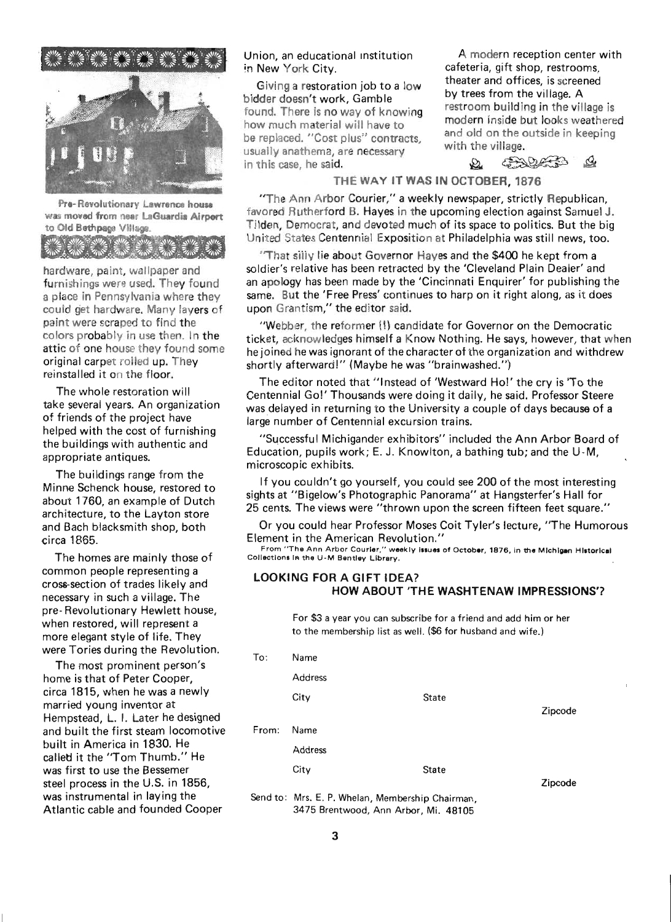

Pre- Revolutionary Lawrence house was moved from near laGuardia Airport to Old Bethpage Village

hardware, paint, wallpaper and furnishings were used. They found a place in Pennsylvania where they could get hardware. Many layers of paint were scraped to find the colors probably in use then. In the attic of one house they found some original carpet rolled up. They reinstalled it on the floor.

The whole restoration will take several years. An organization of friends of the project have helped with the cost of furnishing the buildings with authentic and appropriate antiques.

The buildings range from the Minne Schenck house, restored to about 1760, an example of Dutch architecture, to the Layton store and Bach blacksmith shop, both circa 1865.

The homes are mainly those of common people representing a cross-section of trades likely and necessary in such a village. The pre- Revolutionary Hewlett house, when restored, will represent a more elegant style of life. They were Tories during the Revolution.

The most prominent person's home is that of Peter Cooper, circa 1815, when he was a newly married young inventor at Hempstead, L. I. Later he designed and built the first steam locomotive built in America in 1830. He called it the "Tom Thumb." He was first to use the Bessemer steel process in the U.S. in 1856, was instrumental in laying the Atlantic cable and founded Cooper

Union, an educational institution A modern reception center with in New York City. The Cafeteria, gift shop, restrooms,

bidder doesn't work, Gamble by trees from the village. A<br>found There is no way of knowing restroom building in the village is found. There is no way of knowing how much material will have to modern inside but looks weathered<br>how much material will have to modern and old on the outside in keeping be replaced. "Cost plus" contracts, and old on the contracts of the outside in the outside in the outside in the outside in the outside in the outside in the contract of the outside in the outside in the contract of the ou usually anathema, are necessary in this case, he said.  $\Omega$   $\mathcal{L}$   $\mathcal{L}$   $\mathcal{L}$ 

Giving a restoration job to a low theater and offices, is screened<br>Ider doesn't work. Cemble the village, A

## THE WAY IT WAS IN OCTOBER, 1876

"The Ann Arbor Courier," a weekly newspaper, strictly Republican, favored Rutherford B. Hayes in the upcoming election against Samuel J. Tilden, Democrat, and devoted much of its space to politics. But the big United States Centennial Exposition at Philadelphia was still news, too.

"That silly lie about Governor Hayes and the \$400 he kept from a soldier's relative has been retracted by the 'Cleveland Plain Dealer' and an apology has been made by the 'Cincinnati Enquirer' for publishing the same. But the 'Free Press' continues to harp on it right along, as it does upon Grantism," the editor said.

"Webber, the reformer (!) candidate for Governor on the Democratic ticket, acknowledges himself a Know Nothing. He says, however, that when he joined he was ignorant of the character of the organization and withdrew shortly afterward!" (Maybe he was "brainwashed.")

The editor noted that "Instead of 'Westward Ho!' the cry is 'To the Centennial Go!' Thousands were doing it daily, he said. Professor Steere was delayed in returning to the University a couple of days because of a large number of Centennial excursion trains.

"Successful Michigander exhibitors" included the Ann Arbor Board of Education, pupils work; E. J. Knowlton, a bathing tub; and the U-M, microscopic exhibits.

If you couldn't go yourself, you could see 200 of the most interesting sights at "Bigelow's Photographic Panorama" at Hangsterfer's Hall for 25 cents. The views were "thrown upon the screen fifteen feet square."

Or you could hear Professor Moses Coit Tyler's lecture, "The Humorous Element in the American Revolution."

From "The Ann Arbor Courier," weekly issues of October, 1876, in the Michigan Historical Collections in the U-M Bentley Library.

### LOOKING FOR A GIFT IDEA? HOW ABOUT 'THE WASHTENAW IMPRESSIONS'?

For \$3 a year you can subscribe for a friend and add him or her to the membership iist as well. (\$6 for husband and wife.)

| To:   | Name                                             |              |         |
|-------|--------------------------------------------------|--------------|---------|
|       | <b>Address</b>                                   |              |         |
|       | City                                             | <b>State</b> |         |
|       |                                                  |              | Zipcode |
| From: | Name                                             |              |         |
|       | <b>Address</b>                                   |              |         |
|       | City                                             | <b>State</b> |         |
|       |                                                  |              | Zipcode |
|       | Send to: Mrs. E. P. Whelan, Membership Chairman, |              |         |

3475 Brentwood, Ann Arbor, Mi. 48105